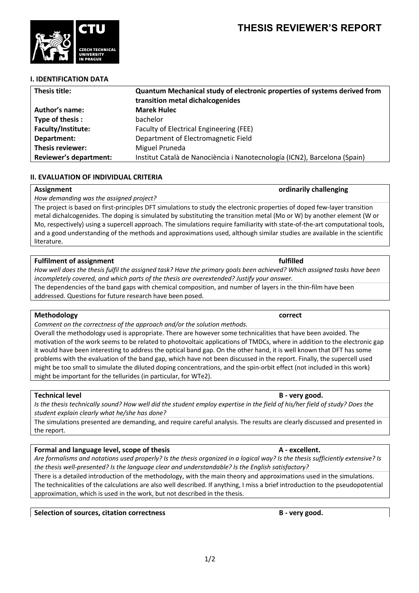

## **I. IDENTIFICATION DATA**

| Thesis title:                 | <b>Quantum Mechanical study of electronic properties of systems derived from</b><br>transition metal dichalcogenides |
|-------------------------------|----------------------------------------------------------------------------------------------------------------------|
| Author's name:                | <b>Marek Hulec</b>                                                                                                   |
| Type of thesis:               | bachelor                                                                                                             |
| Faculty/Institute:            | Faculty of Electrical Engineering (FEE)                                                                              |
| Department:                   | Department of Electromagnetic Field                                                                                  |
| Thesis reviewer:              | Miguel Pruneda                                                                                                       |
| <b>Reviewer's department:</b> | Institut Català de Nanociència i Nanotecnología (ICN2), Barcelona (Spain)                                            |

## **II. EVALUATION OF INDIVIDUAL CRITERIA**

## **Assignment ordinarily challenging**

*How demanding was the assigned project?*

The project is based on first-principles DFT simulations to study the electronic properties of doped few-layer transition metal dichalcogenides. The doping is simulated by substituting the transition metal (Mo or W) by another element (W or Mo, respectively) using a supercell approach. The simulations require familiarity with state-of-the-art computational tools, and a good understanding of the methods and approximations used, although similar studies are available in the scientific literature.

### **Fulfilment of assignment fulfilled**

*How well does the thesis fulfil the assigned task? Have the primary goals been achieved? Which assigned tasks have been incompletely covered, and which parts of the thesis are overextended? Justify your answer.*

The dependencies of the band gaps with chemical composition, and number of layers in the thin-film have been addressed. Questions for future research have been posed.

## **Methodology correct**

*Comment on the correctness of the approach and/or the solution methods.*

Overall the methodology used is appropriate. There are however some technicalities that have been avoided. The motivation of the work seems to be related to photovoltaic applications of TMDCs, where in addition to the electronic gap it would have been interesting to address the optical band gap. On the other hand, it is well known that DFT has some problems with the evaluation of the band gap, which have not been discussed in the report. Finally, the supercell used might be too small to simulate the diluted doping concentrations, and the spin-orbit effect (not included in this work) might be important for the tellurides (in particular, for WTe2).

## **Technical level B** - **very good. B** - **very good.**

*Is the thesis technically sound? How well did the student employ expertise in the field of his/her field of study? Does the student explain clearly what he/she has done?*

The simulations presented are demanding, and require careful analysis. The results are clearly discussed and presented in the report.

## **Formal and language level, scope of thesis A - excellent.**

*Are formalisms and notations used properly? Is the thesis organized in a logical way? Is the thesis sufficiently extensive? Is the thesis well-presented? Is the language clear and understandable? Is the English satisfactory?*

There is a detailed introduction of the methodology, with the main theory and approximations used in the simulations. The technicalities of the calculations are also well described. If anything, I miss a brief introduction to the pseudopotential approximation, which is used in the work, but not described in the thesis.

**Selection of sources, citation correctness B - very good.**